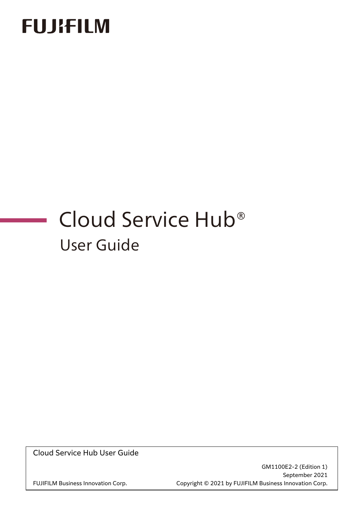# **FUJIFILM**

# Cloud Service Hub® User Guide

Cloud Service Hub User Guide

GM1100E2-2 (Edition 1) September 2021 FUJIFILM Business Innovation Corp. Copyright © 2021 by FUJIFILM Business Innovation Corp.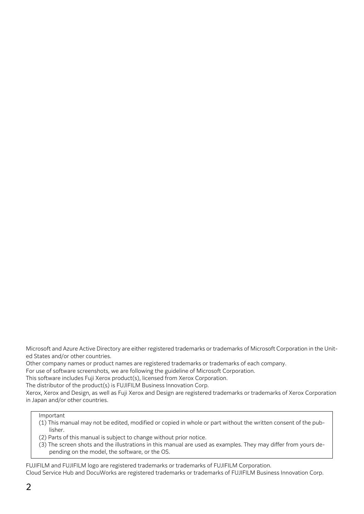Microsoft and Azure Active Directory are either registered trademarks or trademarks of Microsoft Corporation in the United States and/or other countries.

Other company names or product names are registered trademarks or trademarks of each company.

For use of software screenshots, we are following the guideline of Microsoft Corporation.

This software includes Fuji Xerox product(s), licensed from Xerox Corporation.

The distributor of the product(s) is FUJIFILM Business Innovation Corp.

Xerox, Xerox and Design, as well as Fuji Xerox and Design are registered trademarks or trademarks of Xerox Corporation in Japan and/or other countries.

#### Important

(1) This manual may not be edited, modified or copied in whole or part without the written consent of the publisher.

- (2) Parts of this manual is subject to change without prior notice.
- (3) The screen shots and the illustrations in this manual are used as examples. They may differ from yours depending on the model, the software, or the OS.

FUJIFILM and FUJIFILM logo are registered trademarks or trademarks of FUJIFILM Corporation. Cloud Service Hub and DocuWorks are registered trademarks or trademarks of FUJIFILM Business Innovation Corp.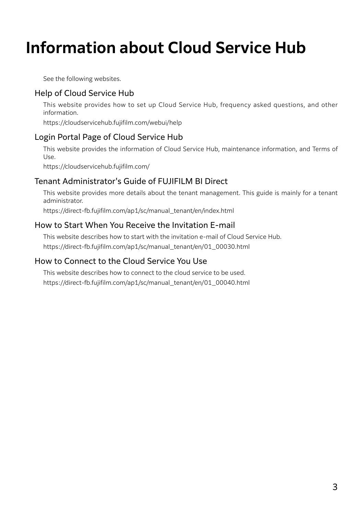# **Information about Cloud Service Hub**

See the following websites.

#### Help of Cloud Service Hub

This website provides how to set up Cloud Service Hub, frequency asked questions, and other information.

https://cloudservicehub.fujifilm.com/webui/help

#### Login Portal Page of Cloud Service Hub

This website provides the information of Cloud Service Hub, maintenance information, and Terms of Use.

https://cloudservicehub.fujifilm.com/

#### Tenant Administrator's Guide of FUJIFILM BI Direct

This website provides more details about the tenant management. This guide is mainly for a tenant administrator.

https://direct-fb.fujifilm.com/ap1/sc/manual\_tenant/en/index.html

#### How to Start When You Receive the Invitation E-mail

This website describes how to start with the invitation e-mail of Cloud Service Hub. https://direct-fb.fujifilm.com/ap1/sc/manual\_tenant/en/01\_00030.html

#### <span id="page-2-0"></span>How to Connect to the Cloud Service You Use

This website describes how to connect to the cloud service to be used. https://direct-fb.fujifilm.com/ap1/sc/manual\_tenant/en/01\_00040.html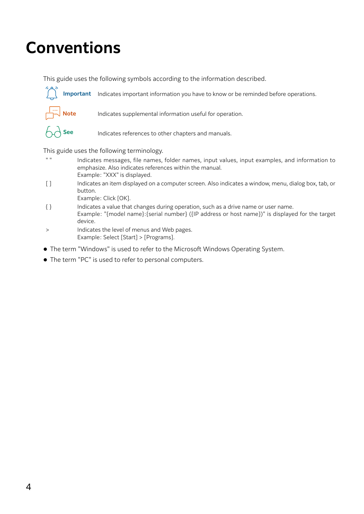# **Conventions**

This guide uses the following symbols according to the information described.



- " " Indicates messages, file names, folder names, input values, input examples, and information to emphasize. Also indicates references within the manual. Example: "XXX" is displayed.
- [ ] Indicates an item displayed on a computer screen. Also indicates a window, menu, dialog box, tab, or button.
	- Example: Click [OK].
- { } Indicates a value that changes during operation, such as a drive name or user name. Example: "{model name}:{serial number} ({IP address or host name})" is displayed for the target device.
- > Indicates the level of menus and Web pages. Example: Select [Start] > [Programs].
- The term "Windows" is used to refer to the Microsoft Windows Operating System.
- The term "PC" is used to refer to personal computers.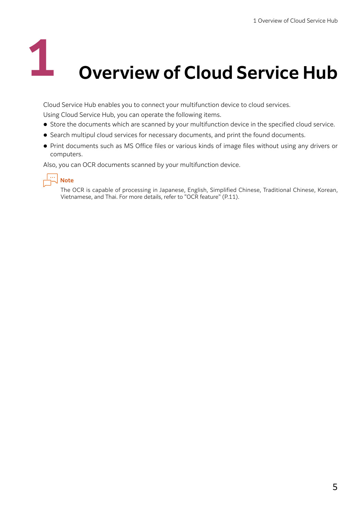# **0 Verview of Cloud Service Hub**

Cloud Service Hub enables you to connect your multifunction device to cloud services.

Using Cloud Service Hub, you can operate the following items.

- Store the documents which are scanned by your multifunction device in the specified cloud service.
- Search multipul cloud services for necessary documents, and print the found documents.
- Print documents such as MS Office files or various kinds of image files without using any drivers or computers.

Also, you can OCR documents scanned by your multifunction device.



The OCR is capable of processing in Japanese, English, Simplified Chinese, Traditional Chinese, Korean, Vietnamese, and Thai. For more details, refer to ["OCR feature" \(P.11\)](#page-10-0).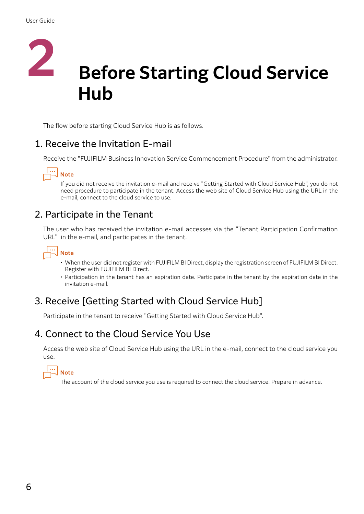

The flow before starting Cloud Service Hub is as follows.

# 1. Receive the Invitation E-mail

Receive the "FUJIFILM Business Innovation Service Commencement Procedure" from the administrator.

# **Note**

If you did not receive the invitation e-mail and receive "Getting Started with Cloud Service Hub", you do not need procedure to participate in the tenant. Access the web site of Cloud Service Hub using the URL in the e-mail, connect to the cloud service to use.

# 2. Participate in the Tenant

The user who has received the invitation e-mail accesses via the "Tenant Participation Confirmation URL" in the e-mail, and participates in the tenant.

# **Note**

- When the user did not register with FUJIFILM BI Direct, display the registration screen of FUJIFILM BI Direct. Register with FUJIFILM BI Direct.
- Participation in the tenant has an expiration date. Participate in the tenant by the expiration date in the invitation e-mail.

# 3. Receive [Getting Started with Cloud Service Hub]

Participate in the tenant to receive "Getting Started with Cloud Service Hub".

## 4. Connect to the Cloud Service You Use

Access the web site of Cloud Service Hub using the URL in the e-mail, connect to the cloud service you use.



The account of the cloud service you use is required to connect the cloud service. Prepare in advance.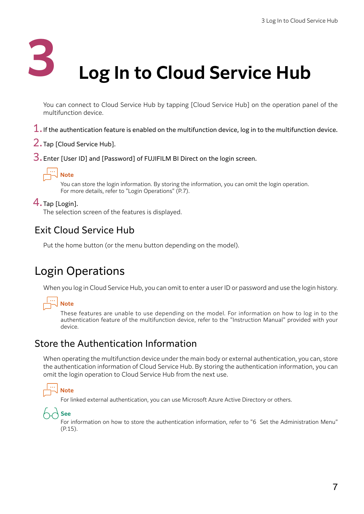

<span id="page-6-1"></span>**Log In to Cloud Service Hub** 

You can connect to Cloud Service Hub by tapping [Cloud Service Hub] on the operation panel of the multifunction device.

- $1.$  If the authentication feature is enabled on the multifunction device, log in to the multifunction device.
- 2.Tap [Cloud Service Hub].
- 3. Enter [User ID] and [Password] of FUJIFILM BI Direct on the login screen.



You can store the login information. By storing the information, you can omit the login operation. For more details, refer to ["Login Operations" \(P.7\)](#page-6-0).

#### 4.Tap [Login].

The selection screen of the features is displayed.

#### Exit Cloud Service Hub

Put the home button (or the menu button depending on the model).

# <span id="page-6-0"></span>Login Operations

When you log in Cloud Service Hub, you can omit to enter a user ID or password and use the login history.

# **Note**

These features are unable to use depending on the model. For information on how to log in to the authentication feature of the multifunction device, refer to the "Instruction Manual" provided with your device.

#### Store the Authentication Information

When operating the multifunction device under the main body or external authentication, you can, store the authentication information of Cloud Service Hub. By storing the authentication information, you can omit the login operation to Cloud Service Hub from the next use.

# **Note**

For linked external authentication, you can use Microsoft Azure Active Directory or others.



For information on how to store the authentication information, refer to ["6 Set the Administration Menu"](#page-14-0) [\(P.15\).](#page-14-0)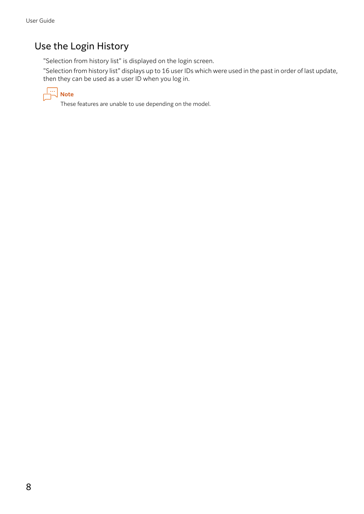# Use the Login History

"Selection from history list" is displayed on the login screen.

"Selection from history list" displays up to 16 user IDs which were used in the past in order of last update, then they can be used as a user ID when you log in.



These features are unable to use depending on the model.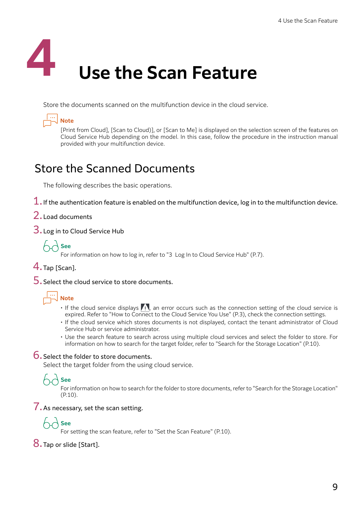

Store the documents scanned on the multifunction device in the cloud service.



[Print from Cloud], [Scan to Cloud)], or [Scan to Me] is displayed on the selection screen of the features on Cloud Service Hub depending on the model. In this case, follow the procedure in the instruction manual provided with your multifunction device.

# Store the Scanned Documents

The following describes the basic operations.

- $1.$  If the authentication feature is enabled on the multifunction device, log in to the multifunction device.
- 2.Load documents
- 3.Log in to Cloud Service Hub



For information on how to log in, refer to ["3 Log In to Cloud Service Hub" \(P.7\).](#page-6-1)

- 4.Tap [Scan].
- 5.Select the cloud service to store documents.

# **Note**

- If the cloud service displays  $\sqrt{N}$ , an error occurs such as the connection setting of the cloud service is expired. Refer to ["How to Connect to the Cloud Service You Use" \(P.3\),](#page-2-0) check the connection settings.
- If the cloud service which stores documents is not displayed, contact the tenant administrator of Cloud Service Hub or service administrator.
- Use the search feature to search across using multiple cloud services and select the folder to store. For information on how to search for the target folder, refer to ["Search for the Storage Location" \(P.10\).](#page-9-0)

#### 6.Select the folder to store documents.

Select the target folder from the using cloud service.

# **See**

For information on how to search for the folder to store documents, refer to ["Search for the Storage Location"](#page-9-0) [\(P.10\).](#page-9-0)

#### 7. As necessary, set the scan setting.

# **See**

For setting the scan feature, refer to ["Set the Scan Feature" \(P.10\)](#page-9-1).

#### 8. Tap or slide [Start].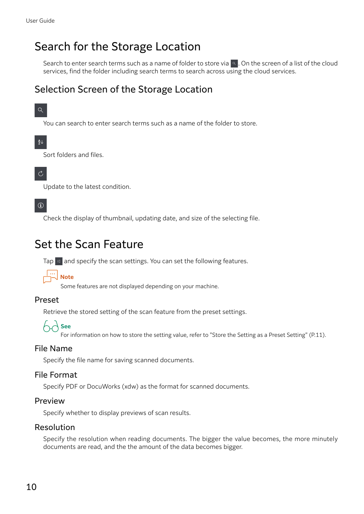# <span id="page-9-2"></span><span id="page-9-0"></span>Search for the Storage Location

Search to enter search terms such as a name of folder to store via  $\sim$  . On the screen of a list of the cloud services, find the folder including search terms to search across using the cloud services.

## Selection Screen of the Storage Location

#### $Q$

You can search to enter search terms such as a name of the folder to store.

#### $\frac{A}{2}$

Sort folders and files.

#### $\mathcal{C}$

Update to the latest condition.

#### $\Omega$

Check the display of thumbnail, updating date, and size of the selecting file.

# <span id="page-9-1"></span>Set the Scan Feature

Tap  $\frac{1}{x}$  and specify the scan settings. You can set the following features.



Some features are not displayed depending on your machine.

#### Preset

Retrieve the stored setting of the scan feature from the preset settings.



For information on how to store the setting value, refer to ["Store the Setting as a Preset Setting" \(P.11\)](#page-10-1).

#### File Name

Specify the file name for saving scanned documents.

#### File Format

Specify PDF or DocuWorks (xdw) as the format for scanned documents.

#### Preview

Specify whether to display previews of scan results.

#### Resolution

Specify the resolution when reading documents. The bigger the value becomes, the more minutely documents are read, and the the amount of the data becomes bigger.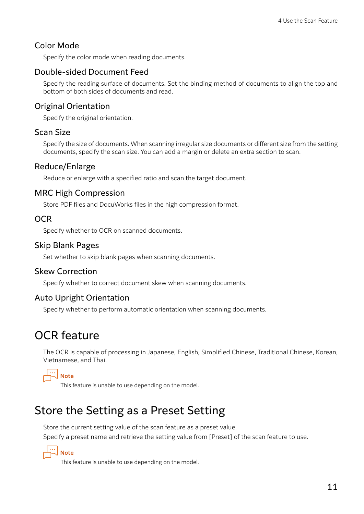#### Color Mode

Specify the color mode when reading documents.

#### Double-sided Document Feed

Specify the reading surface of documents. Set the binding method of documents to align the top and bottom of both sides of documents and read.

#### Original Orientation

Specify the original orientation.

#### Scan Size

Specify the size of documents. When scanning irregular size documents or different size from the setting documents, specify the scan size. You can add a margin or delete an extra section to scan.

#### Reduce/Enlarge

Reduce or enlarge with a specified ratio and scan the target document.

#### MRC High Compression

Store PDF files and DocuWorks files in the high compression format.

#### **OCR**

Specify whether to OCR on scanned documents.

#### Skip Blank Pages

Set whether to skip blank pages when scanning documents.

#### Skew Correction

Specify whether to correct document skew when scanning documents.

#### Auto Upright Orientation

Specify whether to perform automatic orientation when scanning documents.

# <span id="page-10-0"></span>OCR feature

The OCR is capable of processing in Japanese, English, Simplified Chinese, Traditional Chinese, Korean, Vietnamese, and Thai.



This feature is unable to use depending on the model.

# <span id="page-10-1"></span>Store the Setting as a Preset Setting

Store the current setting value of the scan feature as a preset value. Specify a preset name and retrieve the setting value from [Preset] of the scan feature to use.



This feature is unable to use depending on the model.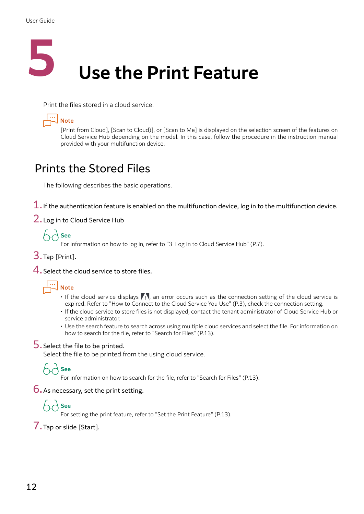

Print the files stored in a cloud service.



[Print from Cloud], [Scan to Cloud)], or [Scan to Me] is displayed on the selection screen of the features on Cloud Service Hub depending on the model. In this case, follow the procedure in the instruction manual provided with your multifunction device.

# Prints the Stored Files

The following describes the basic operations.

- $1.$  If the authentication feature is enabled on the multifunction device, log in to the multifunction device.
- 2. Log in to Cloud Service Hub



For information on how to log in, refer to ["3 Log In to Cloud Service Hub" \(P.7\).](#page-6-1)

- 3.Tap [Print].
- 4. Select the cloud service to store files.



- If the cloud service displays  $\sqrt{N}$ , an error occurs such as the connection setting of the cloud service is expired. Refer to ["How to Connect to the Cloud Service You Use" \(P.3\),](#page-2-0) check the connection setting.
- If the cloud service to store files is not displayed, contact the tenant administrator of Cloud Service Hub or service administrator.
- Use the search feature to search across using multiple cloud services and select the file. For information on how to search for the file, refer to ["Search for Files" \(P.13\).](#page-12-0)

#### 5. Select the file to be printed.

Select the file to be printed from the using cloud service.

# **See**

For information on how to search for the file, refer to ["Search for Files" \(P.13\)](#page-12-0).

#### 6.As necessary, set the print setting.



For setting the print feature, refer to ["Set the Print Feature" \(P.13\).](#page-12-1)

#### 7.Tap or slide [Start].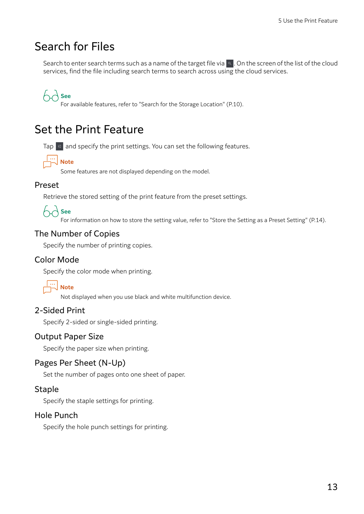# <span id="page-12-0"></span>Search for Files

Search to enter search terms such as a name of the target file via  $\sim$  . On the screen of the list of the cloud services, find the file including search terms to search across using the cloud services.

 $\big\}$  See

For available features, refer to ["Search for the Storage Location" \(P.10\)](#page-9-2).

# <span id="page-12-1"></span>Set the Print Feature

Tap  $\frac{1}{2}$  and specify the print settings. You can set the following features.



Some features are not displayed depending on the model.

#### Preset

Retrieve the stored setting of the print feature from the preset settings.



For information on how to store the setting value, refer to ["Store the Setting as a Preset Setting" \(P.14\)](#page-13-0).

#### The Number of Copies

Specify the number of printing copies.

#### Color Mode

Specify the color mode when printing.



Not displayed when you use black and white multifunction device.

#### 2-Sided Print

Specify 2-sided or single-sided printing.

#### Output Paper Size

Specify the paper size when printing.

#### Pages Per Sheet (N-Up)

Set the number of pages onto one sheet of paper.

#### **Staple**

Specify the staple settings for printing.

#### Hole Punch

Specify the hole punch settings for printing.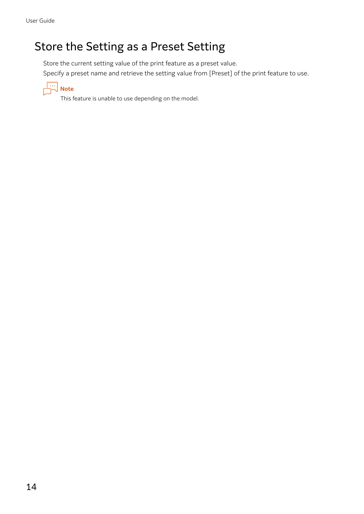# <span id="page-13-0"></span>Store the Setting as a Preset Setting

Store the current setting value of the print feature as a preset value.

Specify a preset name and retrieve the setting value from [Preset] of the print feature to use.



This feature is unable to use depending on the model.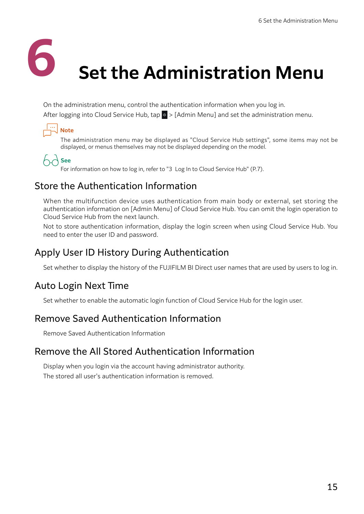

# <span id="page-14-0"></span>**Set the Administration Menu**

On the administration menu, control the authentication information when you log in.

After logging into Cloud Service Hub, tap  $\otimes$  > [Admin Menu] and set the administration menu.

# **Note**

The administration menu may be displayed as "Cloud Service Hub settings", some items may not be displayed, or menus themselves may not be displayed depending on the model.

# **See**

For information on how to log in, refer to ["3 Log In to Cloud Service Hub" \(P.7\).](#page-6-1)

# Store the Authentication Information

When the multifunction device uses authentication from main body or external, set storing the authentication information on [Admin Menu] of Cloud Service Hub. You can omit the login operation to Cloud Service Hub from the next launch.

Not to store authentication information, display the login screen when using Cloud Service Hub. You need to enter the user ID and password.

## Apply User ID History During Authentication

Set whether to display the history of the FUJIFILM BI Direct user names that are used by users to log in.

# Auto Login Next Time

Set whether to enable the automatic login function of Cloud Service Hub for the login user.

## Remove Saved Authentication Information

Remove Saved Authentication Information

## Remove the All Stored Authentication Information

Display when you login via the account having administrator authority. The stored all user's authentication information is removed.